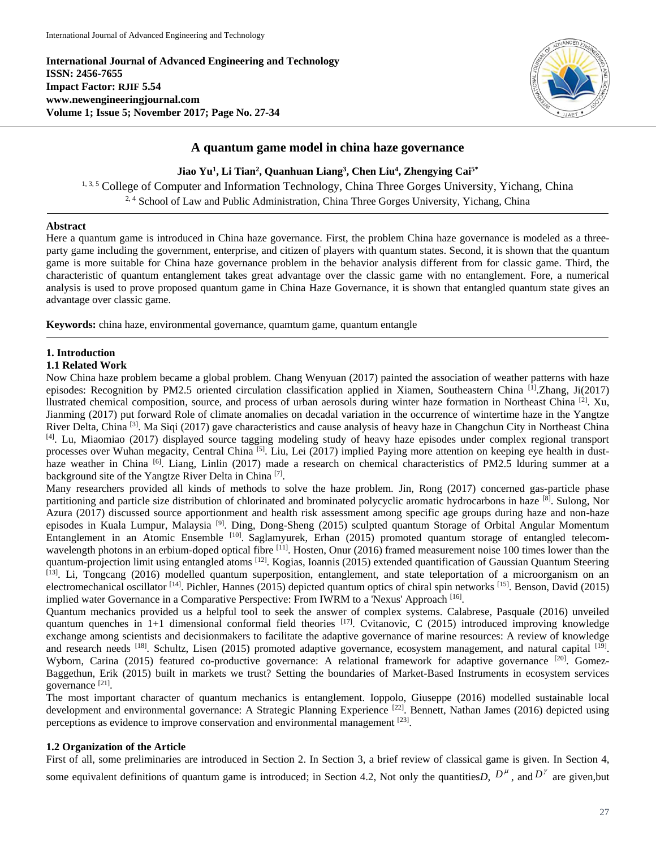**International Journal of Advanced Engineering and Technology ISSN: 2456-7655 Impact Factor: RJIF 5.54 www.newengineeringjournal.com Volume 1; Issue 5; November 2017; Page No. 27-34**



# **A quantum game model in china haze governance**

**Jiao Yu<sup>1</sup> , Li Tian<sup>2</sup> , Quanhuan Liang<sup>3</sup> , Chen Liu<sup>4</sup> , Zhengying Cai5\***

1, 3, 5 College of Computer and Information Technology, China Three Gorges University, Yichang, China <sup>2, 4</sup> School of Law and Public Administration, China Three Gorges University, Yichang, China

### **Abstract**

Here a quantum game is introduced in China haze governance. First, the problem China haze governance is modeled as a threeparty game including the government, enterprise, and citizen of players with quantum states. Second, it is shown that the quantum game is more suitable for China haze governance problem in the behavior analysis different from for classic game. Third, the characteristic of quantum entanglement takes great advantage over the classic game with no entanglement. Fore, a numerical analysis is used to prove proposed quantum game in China Haze Governance, it is shown that entangled quantum state gives an advantage over classic game.

**Keywords:** china haze, environmental governance, quamtum game, quantum entangle

# **1. Introduction**

### **1.1 Related Work**

Now China haze problem became a global problem. Chang Wenyuan (2017) painted the association of weather patterns with haze episodes: Recognition by PM2.5 oriented circulation classification applied in Xiamen, Southeastern China  $\overline{[1]}$ . Zhang, Ji(2017) llustrated chemical composition, source, and process of urban aerosols during winter haze formation in Northeast China <sup>[2]</sup>. Xu, Jianming (2017) put forward Role of climate anomalies on decadal variation in the occurrence of wintertime haze in the Yangtze River Delta, China<sup>[3]</sup>. Ma Siqi (2017) gave characteristics and cause analysis of heavy haze in Changchun City in Northeast China [4]. Lu, Miaomiao (2017) displayed source tagging modeling study of heavy haze episodes under complex regional transport processes over Wuhan megacity, Central China <sup>[5]</sup>. Liu, Lei (2017) implied Paying more attention on keeping eye health in dusthaze weather in China <sup>[6]</sup>. Liang, Linlin (2017) made a research on chemical characteristics of PM2.5 lduring summer at a background site of the Yangtze River Delta in China<sup>[7]</sup>.

Many researchers provided all kinds of methods to solve the haze problem. Jin, Rong (2017) concerned gas-particle phase partitioning and particle size distribution of chlorinated and brominated polycyclic aromatic hydrocarbons in haze [8]. Sulong, Nor Azura (2017) discussed source apportionment and health risk assessment among specific age groups during haze and non-haze episodes in Kuala Lumpur, Malaysia<sup>[9]</sup>. Ding, Dong-Sheng (2015) sculpted quantum Storage of Orbital Angular Momentum Entanglement in an Atomic Ensemble [10]. Saglamyurek, Erhan (2015) promoted quantum storage of entangled telecomwavelength photons in an erbium-doped optical fibre <sup>[11]</sup>. Hosten, Onur (2016) framed measurement noise 100 times lower than the quantum-projection limit using entangled atoms [12]. Kogias, Ioannis (2015) extended quantification of Gaussian Quantum Steering [13]. Li, Tongcang (2016) modelled quantum superposition, entanglement, and state teleportation of a microorganism on an electromechanical oscillator <sup>[14]</sup>. Pichler, Hannes (2015) depicted quantum optics of chiral spin networks <sup>[15]</sup>. Benson, David (2015) implied water Governance in a Comparative Perspective: From IWRM to a 'Nexus' Approach [16].

Quantum mechanics provided us a helpful tool to seek the answer of complex systems. Calabrese, Pasquale (2016) unveiled quantum quenches in 1+1 dimensional conformal field theories  $[17]$ . Cvitanovic, C (2015) introduced improving knowledge exchange among scientists and decisionmakers to facilitate the adaptive governance of marine resources: A review of knowledge and research needs [18]. Schultz, Lisen (2015) promoted adaptive governance, ecosystem management, and natural capital [19]. Wyborn, Carina (2015) featured co-productive governance: A relational framework for adaptive governance <sup>[20]</sup>. Gomez-Baggethun, Erik (2015) built in markets we trust? Setting the boundaries of Market-Based Instruments in ecosystem services governance [21].

The most important character of quantum mechanics is entanglement. Ioppolo, Giuseppe (2016) modelled sustainable local development and environmental governance: A Strategic Planning Experience [22]. Bennett, Nathan James (2016) depicted using perceptions as evidence to improve conservation and environmental management [23].

## **1.2 Organization of the Article**

First of all, some preliminaries are introduced in Section 2. In Section 3, a brief review of classical game is given. In Section 4,

some equivalent definitions of quantum game is introduced; in Section 4.2, Not only the quantities  $D$ ,  $D^{\mu}$ , and  $D^{\gamma}$  are given, but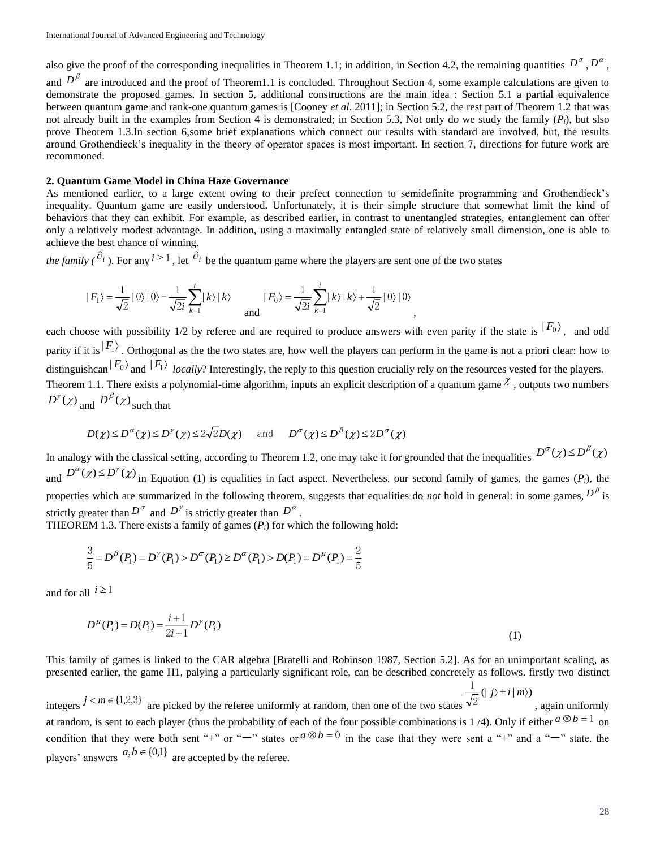also give the proof of the corresponding inequalities in Theorem 1.1; in addition, in Section 4.2, the remaining quantities  $D^{\sigma}$ ,  $D^{\alpha}$ ,

and  $D^{\beta}$  are introduced and the proof of Theorem1.1 is concluded. Throughout Section 4, some example calculations are given to demonstrate the proposed games. In section 5, additional constructions are the main idea : Section 5.1 a partial equivalence between quantum game and rank-one quantum games is [Cooney *et al*. 2011]; in Section 5.2, the rest part of Theorem 1.2 that was not already built in the examples from Section 4 is demonstrated; in Section 5.3, Not only do we study the family  $(P_i)$ , but slso prove Theorem 1.3.In section 6,some brief explanations which connect our results with standard are involved, but, the results around Grothendieck's inequality in the theory of operator spaces is most important. In section 7, directions for future work are recommoned.

#### **2. Quantum Game Model in China Haze Governance**

As mentioned earlier, to a large extent owing to their prefect connection to semidefinite programming and Grothendieck's inequality. Quantum game are easily understood. Unfortunately, it is their simple structure that somewhat limit the kind of behaviors that they can exhibit. For example, as described earlier, in contrast to unentangled strategies, entanglement can offer only a relatively modest advantage. In addition, using a maximally entangled state of relatively small dimension, one is able to achieve the best chance of winning.

*the family*  $(\partial_i)$ . For any  $i \ge 1$ , let  $\partial_i$  be the quantum game where the players are sent one of the two states

$$
|F_1\rangle = \frac{1}{\sqrt{2}} |0\rangle |0\rangle - \frac{1}{\sqrt{2i}} \sum_{k=1}^{i} |k\rangle |k\rangle \qquad |F_0\rangle = \frac{1}{\sqrt{2i}} \sum_{k=1}^{i} |k\rangle |k\rangle + \frac{1}{\sqrt{2}} |0\rangle |0\rangle
$$

each choose with possibility 1/2 by referee and are required to produce answers with even parity if the state is  $|F_0\rangle$ , and odd parity if it is  $|F_1\rangle$ . Orthogonal as the the two states are, how well the players can perform in the game is not a priori clear: how to distinguishcan  $|F_0\rangle$  and  $|F_1\rangle$  *locally*? Interestingly, the reply to this question crucially rely on the resources vested for the players. Theorem 1.1. There exists a polynomial-time algorithm, inputs an explicit description of a quantum game  $\chi$ , outputs two numbers  $D^{\gamma}(\chi)$  and  $D^{\beta}(\chi)$  such that

,

$$
D(\chi) \le D^{\alpha}(\chi) \le D^{\gamma}(\chi) \le 2\sqrt{2}D(\chi)
$$
 and  $D^{\sigma}(\chi) \le D^{\beta}(\chi) \le 2D^{\sigma}(\chi)$ 

In analogy with the classical setting, according to Theorem 1.2, one may take it for grounded that the inequalities  $D^{\sigma}(\chi) \le D^{\beta}(\chi)$ and  $D^{\alpha}(\chi) \le D^{\gamma}(\chi)$  in Equation (1) is equalities in fact aspect. Nevertheless, our second family of games, the games (*P*<sub>*i*</sub>), the properties which are summarized in the following theorem, suggests that equalities do *not* hold in general: in some games,  $D^{\beta}$  is strictly greater than  $D^{\sigma}$  and  $D^{\gamma}$  is strictly greater than  $D^{\alpha}$ .

THEOREM 1.3. There exists a family of games  $(P_i)$  for which the following hold:

$$
\frac{3}{5} = D^{\beta}(P_1) = D^{\gamma}(P_1) > D^{\sigma}(P_1) \ge D^{\alpha}(P_1) > D(P_1) = D^{\mu}(P_1) = \frac{2}{5}
$$

and for all  $i \ge 1$ 

$$
D^{\mu}(P_i) = D(P_i) = \frac{i+1}{2i+1} D^{\gamma}(P_i)
$$
\n(1)

This family of games is linked to the CAR algebra [Bratelli and Robinson 1987, Section 5.2]. As for an unimportant scaling, as presented earlier, the game H1, palying a particularly significant role, can be described concretely as follows. firstly two distinct

integers  $j < m \in \{1,2,3\}$  are picked by the referee uniformly at random, then one of the two states  $\frac{1}{2}$ (| *j*)  $\pm i$  | *m*)) 1 , again uniformly at random, is sent to each player (thus the probability of each of the four possible combinations is 1/4). Only if either  $a \otimes b = 1$  on condition that they were both sent "+" or "-" states or  $a \otimes b = 0$  in the case that they were sent a "+" and a "-" state. the players' answers  $a, b \in \{0,1\}$  are accepted by the referee.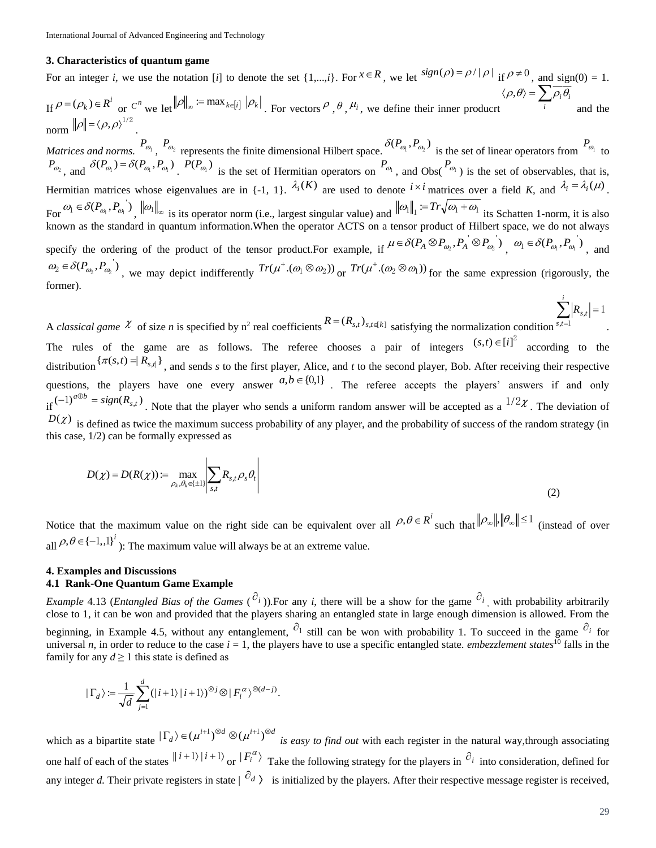### **3. Characteristics of quantum game**

For an integer *i*, we use the notation [*i*] to denote the set {1,...,*i*}. For  $x \in R$ , we let  $sign(\rho) = \rho/|\rho|$  if  $\rho \neq 0$ , and sign(0) = 1.  $\inf_{\mathbf{A}} \rho = (\rho_k) \in \mathbb{R}^i$  or  $C^n$  we let  $\|\rho\|_{\infty} := \max_{k \in [i]} |\rho_k|$ . For vectors  $\rho$ ,  $\theta$ ,  $\mu_i$ , we define their inner producrt  $\langle \rho, \theta \rangle = \sum_i$  $\rho, \theta \rangle = \sum_i \rho_i \theta_i$ and the 1/2

norm  $\|\rho\| = \langle \rho, \rho \rangle$ . *Matrices and norms.*  $P_{\omega_1}$ ,  $P_{\omega_2}$  represents the finite dimensional Hilbert space.  $\delta(P_{\omega_1}, P_{\omega_2})$  is the set of linear operators from  $P_{\omega_1}$  to  $P_{\omega_2}$ , and  $\delta(P_{\omega_1}) = \delta(P_{\omega_1}, P_{\omega_1})$ .  $P(P_{\omega_1})$  is the set of Hermitian operators on  $P_{\omega_1}$ , and Obs( $P_{\omega_1}$ ) is the set of observables, that is, Hermitian matrices whose eigenvalues are in  $\{-1, 1\}$ .  $\lambda_i(K)$  are used to denote  $i \times i$  matrices over a field *K*, and  $\lambda_i = \lambda_i(\mu)$ . For  $\omega_1 \in \delta(P_{\omega_1}, P_{\omega_1})$ ,  $\|\omega_1\|_{\infty}$  is its operator norm (i.e., largest singular value) and  $\|\omega_1\|_1 = Tr\sqrt{\omega_1 + \omega_1}$  its Schatten 1-norm, it is also known as the standard in quantum information.When the operator ACTS on a tensor product of Hilbert space, we do not always specify the ordering of the product of the tensor product. For example, if  $\mu \in \delta(P_A \otimes P_{\omega_2}, P_A \otimes P_{\omega_2})$  $\mu \in \delta(P_A \otimes P_{\omega_2}, P_A \otimes P_{\omega_2})$ ,  $\omega_1 \in \delta(P_{\omega_1}, P_{\omega_1})$ , and  $\omega_2 \in \delta(P_{\omega_2}, P_{\omega_2})$ , we may depict indifferently  $Tr(\mu^+ . (\omega_1 \otimes \omega_2))$  $Tr(\mu^{\texttt{+}}.(\omega_{\texttt{l}} \otimes \omega_{\texttt{2}})) \:_{\text{OT}} Tr(\mu^{\texttt{+}}.(\omega_{\texttt{2}} \otimes \omega_{\texttt{l}}))$  $Tr(\mu^+ \cdot (\omega_2 \otimes \omega_1))$  for the same expression (rigorously, the former).

A *classical game*  $\chi$  of size *n* is specified by n<sup>2</sup> real coefficients  $R = (R_{s,t})_{s,t \in [k]}$  satisfying the normalization condition  $\sum_{s,t=1}^{\infty} |R_{s,t}| = 1$ *s t*  $R_{s,t}$ alization condition  $s,t=1$ <br>  $(s,t) \in [t]^2$  according to the

The rules of the game are as follows. The referee chooses a pair of integers  $(3,1) \in [1]$  according to the distribution  $\{\pi(s,t) = R_{s,t}\}\$ , and sends *s* to the first player, Alice, and *t* to the second player, Bob. After receiving their respective questions, the players have one every answer  $a,b \in \{0,1\}$ . The referee accepts the players' answers if and only if  $(-1)^{a \oplus b} = sign(R_{s,t})$ . Note that the player who sends a uniform random answer will be accepted as a  $1/2\chi$ . The deviation of  $D(\chi)$  is defined as twice the maximum success probability of any player, and the probability of success of the random strategy (in this case, 1/2) can be formally expressed as

$$
D(\chi) = D(R(\chi)) := \max_{\rho_k, \theta_k \in \{\pm 1\}} \left| \sum_{s,t} R_{s,t} \rho_s \theta_t \right| \tag{2}
$$

Notice that the maximum value on the right side can be equivalent over all  $\rho$ ,  $\theta \in R^i$  such that  $\|\rho_{\infty}\|$ ,  $\|\theta_{\infty}\| \leq 1$  (instead of over all  $\rho, \theta \in \{-1, 1\}^i$  ): The maximum value will always be at an extreme value.

### **4. Examples and Discussions 4.1 Rank-One Quantum Game Example**

*Example* 4.13 (*Entangled Bias of the Games* ( $\partial_i$ )). For any *i*, there will be a show for the game  $\partial_i$ , with probability arbitrarily close to 1, it can be won and provided that the players sharing an entangled state in large enough dimension is allowed. From the beginning, in Example 4.5, without any entanglement,  $\hat{c}_1$  still can be won with probability 1. To succeed in the game  $\hat{c}_i$  for universal *n*, in order to reduce to the case  $i = 1$ , the players have to use a specific entangled state. *embezzlement states*<sup>10</sup> falls in the family for any  $d \ge 1$  this state is defined as

$$
|\Gamma_d\rangle:=\frac{1}{\sqrt{d}}\sum_{j=1}^d(|i+1\rangle|i+1\rangle)^{\otimes j}\otimes|F_i^{\alpha}\rangle^{\otimes(d-j)}.
$$

which as a bipartite state  $|\Gamma_d\rangle \in (\mu^{i+1})^{\otimes d} \otimes (\mu^{i+1})^{\otimes d}$  *is easy to find out* with each register in the natural way, through associating one half of each of the states  $\|i+1\rangle\|i+1\rangle$  or  $\|F_i^{\alpha}\rangle$  Take the following strategy for the players in  $\partial_i$  into consideration, defined for any integer *d*. Their private registers in state  $\vert^{O_d}$  is initialized by the players. After their respective message register is received,

*i*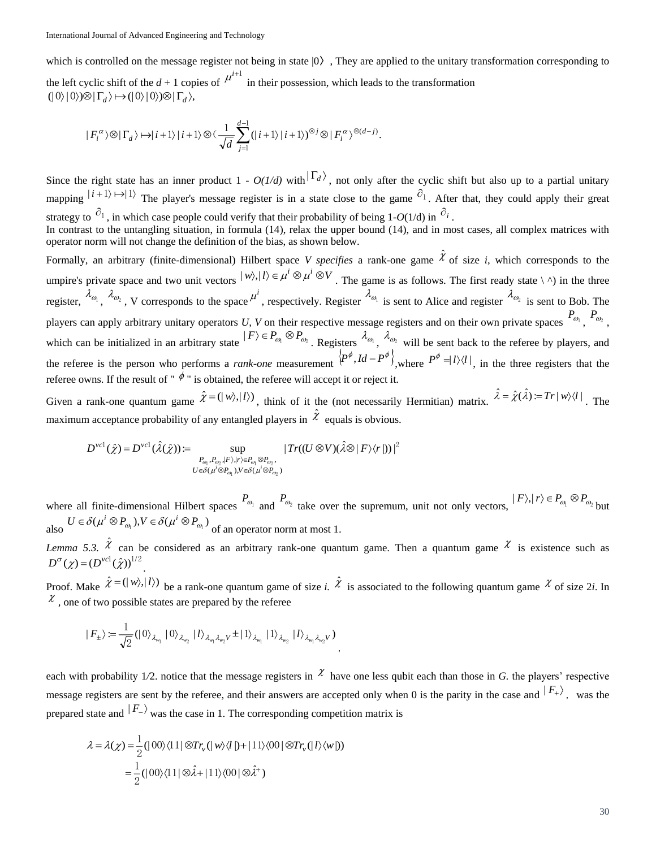which is controlled on the message register not being in state  $|0\rangle$ , They are applied to the unitary transformation corresponding to the left cyclic shift of the  $d+1$  copies of  $\mu^{i+1}$  in their possession, which leads to the transformation

 $(|0\rangle|0\rangle) \otimes |\Gamma_d\rangle \mapsto (|0\rangle|0\rangle) \otimes |\Gamma_d\rangle,$ 

$$
|F^{\alpha}_{i}\rangle\otimes|\Gamma_{d}\rangle\mapsto|i+1\rangle|i+1\rangle\otimes(\frac{1}{\sqrt{d}}\sum_{j=1}^{d-1}(|i+1\rangle|i+1\rangle)^{\otimes j}\otimes|F^{\alpha}_{i}\rangle^{\otimes(d-j)}.
$$

Since the right state has an inner product  $1 - O(1/d)$  with  $|\Gamma_d\rangle$ , not only after the cyclic shift but also up to a partial unitary mapping  $|i+1\rangle \rightarrow |1\rangle$  The player's message register is in a state close to the game  $\partial_1$ . After that, they could apply their great strategy to  $\partial_1$ , in which case people could verify that their probability of being 1-*O*(1/d) in  $\partial_i$ .

In contrast to the untangling situation, in formula (14), relax the upper bound (14), and in most cases, all complex matrices with operator norm will not change the definition of the bias, as shown below.

Formally, an arbitrary (finite-dimensional) Hilbert space *V specifies* a rank-one game  $\hat{\chi}$  of size *i*, which corresponds to the umpire's private space and two unit vectors  $|w\rangle, |l\rangle \in \mu^{i} \otimes \mu^{i} \otimes V$ . The game is as follows. The first ready state  $\langle \wedge \rangle$  in the three register,  $\lambda_{\omega_1}$ ,  $\lambda_{\omega_2}$ , V corresponds to the space  $\mu^i$ , respectively. Register  $\lambda_{\omega_1}$  is sent to Alice and register  $\lambda_{\omega_2}$  is sent to Bob. The players can apply arbitrary unitary operators U, V on their respective message registers and on their own private spaces  $P_{\omega_1}$ ,  $P_{\omega_2}$ , which can be initialized in an arbitrary state  $|F\rangle \in P_{\omega_1} \otimes P_{\omega_2}$ . Registers  $\lambda_{\omega_1}$ ,  $\lambda_{\omega_2}$  will be sent back to the referee by players, and the referee is the person who performs a *rank-one* measurement  $\left\{P^{\phi}, Id - P^{\phi}\right\}$ , where  $P^{\phi} = l \frac{1}{l} \left\{I \right\}$ , in the three registers that the referee owns. If the result of "  $\phi$  " is obtained, the referee will accept it or reject it.

Given a rank-one quantum game  $\hat{\chi} = (|\psi\rangle, |\ell\rangle)$ , think of it the (not necessarily Hermitian) matrix.  $\hat{\lambda} = \hat{\chi}(\hat{\lambda}) = Tr|w\rangle\langle l|$ . The maximum acceptance probability of any entangled players in  $\hat{\mathcal{X}}$  equals is obvious.

$$
D^{\text{vcl}}(\hat{\chi}) = D^{\text{vcl}}(\hat{\lambda}(\hat{\chi})) \coloneqq \sup_{\substack{P_{\text{ov}_1}, P_{\text{ov}_2}: |F\rangle, |r\rangle \in P_{\text{ov}_1} \otimes P_{\text{ov}_2},\\U \in \delta(\mu^i \otimes P_{\text{ov}_1}), V \in \delta(\mu^i \otimes P_{\text{ov}_2})}} |Tr((U \otimes V)(\hat{\lambda} \otimes |F\rangle\langle r|))|^2
$$

where all finite-dimensional Hilbert spaces  $P_{\omega_1}$  and  $P_{\omega_2}$  take over the supremum, unit not only vectors,  $|F\rangle, |r\rangle \in P_{\omega_1} \otimes P_{\omega_2}$  but also  $U \in \delta(\mu^i \otimes P_{\omega_1}), V \in \delta(\mu^i \otimes P_{\omega_1})$ of an operator norm at most 1.

*Lemma 5.3.*  $\hat{\chi}$  can be considered as an arbitrary rank-one quantum game. Then a quantum game  $\hat{\chi}$  is existence such as  $D^{\sigma}(\chi) = (D^{\text{vcl}}(\hat{\chi}))^{1/2}.$ 

Proof. Make  $\hat{\chi} = (|\psi\rangle, |\ell\rangle)$  be a rank-one quantum game of size *i.*  $\hat{\chi}$  is associated to the following quantum game  $\chi$  of size 2*i*. In  $\mathcal{X}$ , one of two possible states are prepared by the referee

$$
| F_{\pm} \rangle := \frac{1}{\sqrt{2}} (| 0 \rangle_{\lambda_{w_1}} | 0 \rangle_{\lambda_{w_2}} | l \rangle_{\lambda_{w_1} \lambda_{w_2} V} \pm | 1 \rangle_{\lambda_{w_1}} | 1 \rangle_{\lambda_{w_2}} | l \rangle_{\lambda_{w_1} \lambda_{w_2} V} )
$$

each with probability 1/2, notice that the message registers in  $\chi$  have one less qubit each than those in *G*, the players' respective message registers are sent by the referee, and their answers are accepted only when 0 is the parity in the case and  $\ket{F_+}$ , was the prepared state and  $|F_{-}\rangle$  was the case in 1. The corresponding competition matrix is

$$
\lambda = \lambda(\chi) = \frac{1}{2} (|00\rangle\langle 11| \otimes Tr_v(|w\rangle\langle l|) + |11\rangle\langle 00| \otimes Tr_v(|l\rangle\langle w|))
$$
  
= 
$$
\frac{1}{2} (|00\rangle\langle 11| \otimes \hat{\lambda} + |11\rangle\langle 00| \otimes \hat{\lambda}^+)
$$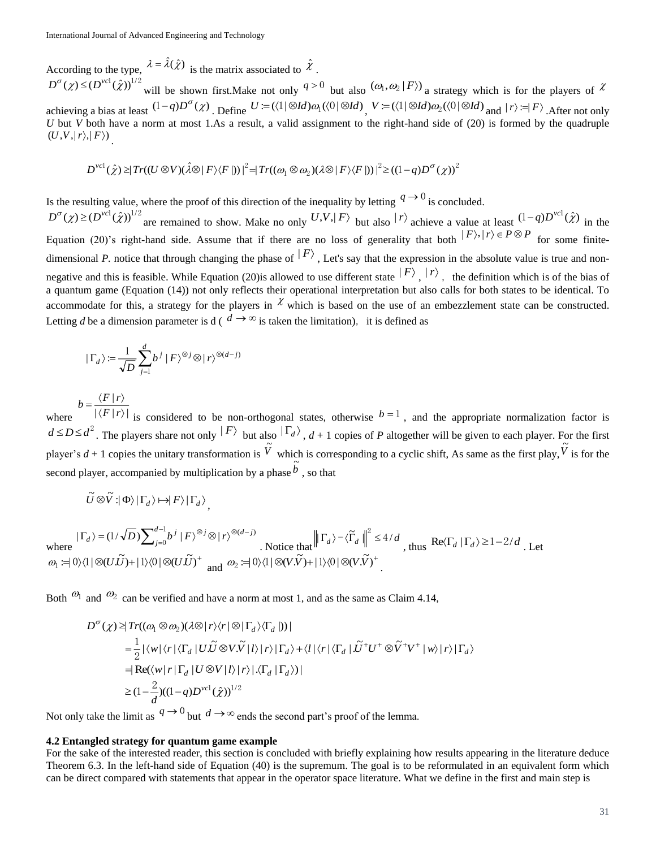According to the type,  $\lambda = \hat{\lambda}(\hat{\chi})$  is the matrix associated to  $\hat{\chi}$ .

 $D^{\sigma}(\chi) \leq (D^{\text{vel}}(\hat{\chi}))^{1/2}$  will be shown first. Make not only  $q > 0$  but also  $(\omega_1, \omega_2 | F)$  a strategy which is for the players of  $\chi$ achieving a bias at least  $(1-q)D^{\sigma}(\chi)$ . Define  $U = (\langle 1 | \otimes Id) \omega_1(\langle 0 | \otimes Id)$ ,  $V = (\langle 1 | \otimes Id) \omega_2(\langle 0 | \otimes Id)$  and  $|r \rangle = |F\rangle$ . After not only *U* but *V* both have a norm at most 1.As a result, a valid assignment to the right-hand side of (20) is formed by the quadruple  $(U, V, |r\rangle, |F\rangle)$ .

$$
D^{\text{vcl}}(\hat{\chi}) \geq |Tr((U \otimes V)(\hat{\lambda} \otimes |F \rangle \langle F |))|^2 = |Tr((\omega_1 \otimes \omega_2)(\lambda \otimes |F \rangle \langle F |))|^2 \geq ((1-q)D^{\sigma}(\chi))^2
$$

Is the resulting value, where the proof of this direction of the inequality by letting  $q \to 0$  is concluded.

 $D^{\sigma}(\chi) \geq (D^{\text{vel}}(\hat{\chi}))^{1/2}$  are remained to show. Make no only  $U, V, |F\rangle$  but also  $|r\rangle$  achieve a value at least  $(1-q)D^{\text{vel}}(\hat{\chi})$  in the Equation (20)'s right-hand side. Assume that if there are no loss of generality that both  $|F\rangle, |r\rangle \in P \otimes P$  for some finitedimensional P. notice that through changing the phase of  $|F\rangle$ , Let's say that the expression in the absolute value is true and nonnegative and this is feasible. While Equation (20) is allowed to use different state  $|F\rangle$ ,  $|r\rangle$ , the definition which is of the bias of a quantum game (Equation (14)) not only reflects their operational interpretation but also calls for both states to be identical. To accommodate for this, a strategy for the players in  $\chi$  which is based on the use of an embezzlement state can be constructed. Letting *d* be a dimension parameter is d ( $d \rightarrow \infty$  is taken the limitation), it is defined as

$$
|\Gamma_d\rangle := \frac{1}{\sqrt{D}} \sum_{j=1}^d b^j |F\rangle^{\otimes j} \otimes |r\rangle^{\otimes (d-j)}
$$

 $=\frac{\langle F|r\rangle}{|\langle F|r\rangle}$  $b = \frac{\langle F | r}{\langle F | r \rangle}$ 

where  $|\langle F | r \rangle|$ is considered to be non-orthogonal states, otherwise  $b=1$ , and the appropriate normalization factor is  $d \le D \le d^2$ . The players share not only  $|F\rangle$  but also  $|\Gamma_d\rangle$ ,  $d+1$  copies of *P* altogether will be given to each player. For the first player's  $d+1$  copies the unitary transformation is  $\tilde{V}$  which is corresponding to a cyclic shift, As same as the first play,  $\tilde{V}$  is for the second player, accompanied by multiplication by a phase  $\tilde{b}$  , so that

$$
\widetilde{U}\otimes\widetilde{V}:|\Phi\rangle|\Gamma_d\rangle\mapsto|F\rangle|\Gamma_d\rangle,
$$

where  $|\Gamma_d\rangle = (1/\sqrt{D})\sum_{j=1}^{d-1}$  $|\Gamma_d\rangle = (1/\sqrt{D}) \sum_{j=0}^{d-1} b^j |F\rangle^{\otimes j} \otimes |r\rangle^{\otimes (d-1)}$  $(1/\sqrt{D})\sum_{j=0}^{d-1}$ *j*  $\left| \Gamma_d \right\rangle = (1/\sqrt{D}) \sum_{i=0}^{d-1} b^j \left| F \right\rangle^{\otimes j} \otimes \left| r \right\rangle^{\otimes (d-j)}$ where  $|\Gamma_d\rangle = (1/\sqrt{D}) \sum_{j=0}^{d-1} b^j |F\rangle^{\otimes j} \otimes |r\rangle^{\otimes (d-j)}$ . Notice that  $||\Gamma_d\rangle - \langle \tilde{\Gamma}_d||^2 \le 4/d$ , thus  $\text{Re}\langle \Gamma_d | \Gamma_d \rangle \ge 1 - 2/d$ . Let  $\omega_1 := 0 \setminus \langle 1 | \otimes (U\tilde{U})^+ |1\rangle \langle 0 | \otimes (U\tilde{U})^+$  and  $\omega_2 := 0 \rangle \langle 1 | \otimes (V\tilde{V$ 

Both  $\mathcal{O}_1$  and  $\mathcal{O}_2$  can be verified and have a norm at most 1, and as the same as Claim 4.14,

$$
D^{\sigma}(\chi) \geq |Tr((\omega_1 \otimes \omega_2)(\lambda \otimes |r\rangle\langle r | \otimes |\Gamma_d\rangle\langle \Gamma_d |))|
$$
  
\n
$$
= \frac{1}{2} |\langle w | \langle r | \langle \Gamma_d | U. \widetilde{U} \otimes V. \widetilde{V} | l \rangle | r \rangle |\Gamma_d\rangle + \langle l | \langle r | \langle \Gamma_d | . \widetilde{U}^+ U^+ \otimes \widetilde{V}^+ V^+ | w \rangle | r \rangle |\Gamma_d\rangle
$$
  
\n
$$
= |\text{Re}(\langle w | r | \Gamma_d | U \otimes V | l \rangle | r \rangle |\langle \Gamma_d | \Gamma_d \rangle)|
$$
  
\n
$$
\geq (1 - \frac{2}{d})((1 - q)D^{\text{vel}}(\hat{\chi}))^{1/2}
$$

Not only take the limit as  $q \to 0$  but  $d \to \infty$  ends the second part's proof of the lemma.

# **4.2 Entangled strategy for quantum game example**

For the sake of the interested reader, this section is concluded with briefly explaining how results appearing in the literature deduce Theorem 6.3. In the left-hand side of Equation (40) is the supremum. The goal is to be reformulated in an equivalent form which can be direct compared with statements that appear in the operator space literature. What we define in the first and main step is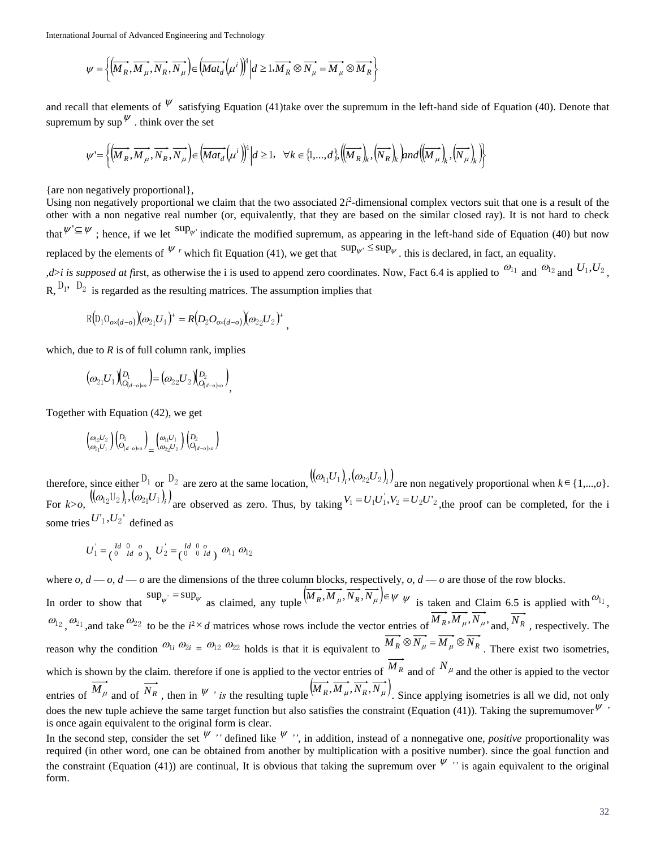International Journal of Advanced Engineering and Technology

$$
\psi = \left\{ \left( \overrightarrow{M_R}, \overrightarrow{M_\mu}, \overrightarrow{N_R}, \overrightarrow{N_\mu} \right) \in \left( \overrightarrow{Mat_d} \left( \mu^i \right) \right)^4 \middle| d \geq 1, \overrightarrow{M_R} \otimes \overrightarrow{N_\mu} = \overrightarrow{M_\mu} \otimes \overrightarrow{M_R} \right\}
$$

and recall that elements of  $\psi$  satisfying Equation (41)take over the supremum in the left-hand side of Equation (40). Denote that supremum by  $\sup^{\psi}$  think over the set

$$
\psi = \left\{ \left( \overrightarrow{M_R}, \overrightarrow{M_\mu}, \overrightarrow{N_R}, \overrightarrow{N_\mu} \right) \in \left( \overrightarrow{Mat_d} \left( \mu^i \right) \right)^4 \middle| d \ge 1, \quad \forall k \in \{1, ..., d\}, \left( \left( \overrightarrow{M_R} \right)_k, \left( \overrightarrow{N_R} \right)_k \right) \text{and} \left( \left( \overrightarrow{M_\mu} \right)_k, \left( \overrightarrow{N_\mu} \right)_k \right) \right\}
$$

*,*

{are non negatively proportional},

Using non negatively proportional we claim that the two associated  $2i^2$ -dimensional complex vectors suit that one is a result of the other with a non negative real number (or, equivalently, that they are based on the similar closed ray). It is not hard to check that  $\psi' \subseteq \psi$ ; hence, if we let  $\sup_{\psi}$  indicate the modified supremum, as appearing in the left-hand side of Equation (40) but now replaced by the elements of  $\psi$  *r* which fit Equation (41), we get that  $\sup_{\psi}$  sup<sub> $\psi$ </sub> this is declared, in fact, an equality. *d*>*i* is supposed at first, as otherwise the *i* is used to append zero coordinates. Now, Fact 6.4 is applied to  $\omega_{11}$  and  $\omega_{12}$  and  $U_1, U_2$ ,

 $\mathbf{R}, \mathbf{D}_1, \mathbf{D}_2$  is regarded as the resulting matrices. The assumption implies that

,

$$
R(D_1 O_{o \times (d - o)})(\omega_{21} U_1)^{+} = R(D_2 O_{o \times (d - o)})(\omega_{22} U_2)^{+}
$$

which, due to  $R$  is of full column rank, implies

$$
\big(\omega_{21}U_{1}\big)^{\!\! \!}(D_{\!0_{(d-o)\times o}}\big) \!\! = \! \big(\omega_{22}U_{2}\big)^{\!\! \!}(D_{\!0_{(d-o)\times o}}\big)_{\!\!\!},
$$

Together with Equation (42), we get

$$
\binom{\omega_{2}U_{2}}{\omega_{2_{1}}U_{1}}\binom{D_{1}}{O_{(d-o)\kappa o}}_{\!=\!}\binom{\omega_{1}U_{1}}{\omega_{2}U_{2}}\binom{D_{2}}{O_{(d-o)\kappa o}}
$$

therefore, since either <sup>D<sub>1</sub></sup> or <sup>D<sub>2</sub></sup> are zero at the same location,  $((\omega_{11}U_1)_i, (\omega_{22}U_2)_i)$  are non negatively proportional when  $k \in \{1,...,o\}$ . For  $k > 0$ ,  $((\omega_{12}U_2)_i, (\omega_{21}U_1)_i)$  are observed as zero. Thus, by taking  $V_1 = U_1U_1$ ,  $V_2 = U_2U_2$  $V_1 = U_1 U_1, V_2 = U_2 U_2$ , the proof can be completed, for the i some tries  $U_1, U_2$ <sup>'</sup> defined as

$$
U_1=\left(\begin{smallmatrix} Id & 0 & o \\ 0 & Id & o \end{smallmatrix}\right),\; U_2=\left(\begin{smallmatrix} Id & 0 & o \\ 0 & 0 & Id \end{smallmatrix}\right)\; \omega_{11} \;\omega_{12}
$$

 $\left[\overline{M}_2, \overline{M}_2, \overline{N}_3, \overline{N}_3\right]$ .  $\left[\overline{M}\overline{B}_2\right]_{\text{H}} = \frac{1}{2}\sum_{k=1}^{n} \sum_{k=1}^{n} \sum_{k=1}^{n} \sum_{k=1}^{n} \sum_{k=1}^{n} \sum_{k=1}^{n} \sum_{k=1}^{n} \sum_{k=1}^{n} \sum_{k=1}^{n} \sum_{k=1}^{n} \sum_{k=1}^{n} \sum_{k=1}^{n} \sum_{k=1}^{n} \sum_{k=1}^{n} \sum_{k=1}^{n}$ where  $o, d \rightarrow o$  are the dimensions of the three column blocks, respectively,  $o, d \rightarrow o$  are those of the row blocks. In order to show that  $\sup_{\psi} = \sup_{\psi}$  as claimed, any tuple  $(\overrightarrow{M_R}, \overrightarrow{M_\mu}, \overrightarrow{N_R}, \overrightarrow{N_\mu}) \in \psi$  is taken and Claim 6.5 is applied with  $\omega_{11}$ ,  $\omega_{12}$ ,  $\omega_{21}$ , and take  $\omega_{22}$  to be the  $i^2 \times d$  matrices whose rows include the vector entries of  $M_R$ ,  $M_\mu$ ,  $N_\mu$ , and,  $N_R$ , respectively. The reason why the condition  $\omega_{1i} \omega_{2i} = \omega_{12} \omega_{22}$  holds is that it is equivalent to  $M_R \otimes N_\mu = M_\mu \otimes N_R$ . There exist two isometries, which is shown by the claim. therefore if one is applied to the vector entries of  $M_R$  and of  $N_\mu$  and the other is appied to the vector entries of  $\overrightarrow{M_{\mu}}$  and of  $\overrightarrow{N_{R}}$ , then in  $\psi$  *is* the resulting tuple  $(\overrightarrow{M_{R}}, \overrightarrow{M_{\mu}}, \overrightarrow{N_{R}}, \overrightarrow{N_{\mu}})$ . Since applying isometries is all we did, not only does the new tuple achieve the same target function but also satisfies the constraint (Equation (41)). Taking the supremumover  $\psi$ , is once again equivalent to the original form is clear.

In the second step, consider the set  $\psi'$  " defined like  $\psi''$  ", in addition, instead of a nonnegative one, *positive* proportionality was required (in other word, one can be obtained from another by multiplication with a positive number). since the goal function and the constraint (Equation (41)) are continual, It is obvious that taking the supremum over  $\psi$  " is again equivalent to the original form.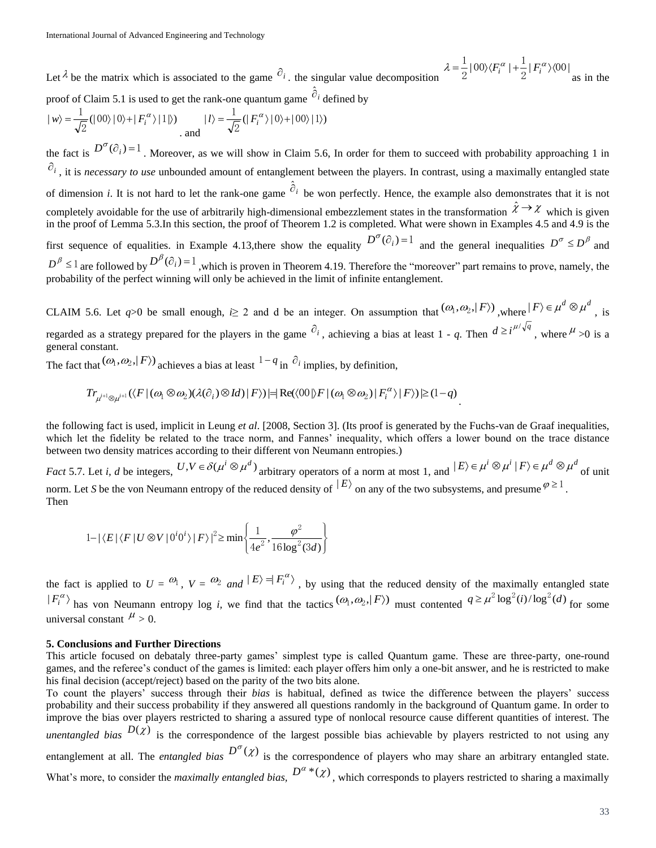Let  $\lambda$  be the matrix which is associated to the game  $\partial_i$ , the singular value decomposition  $|00\rangle\langle F_i^{\alpha}|+\frac{1}{2}|F_i^{\alpha}\rangle\langle00|$  $\frac{1}{2}$ |00) $\langle F_i^{\alpha} | + \frac{1}{2}$  $\lambda = \frac{1}{2} |00\rangle\langle F_i^{\alpha}| + \frac{1}{2} |F_i^{\alpha}\rangle\langle$ as in the

proof of Claim 5.1 is used to get the rank-one quantum game  $\partial_i$  defined by

$$
|w\rangle = \frac{1}{\sqrt{2}} (|00\rangle|0\rangle + |F_i^{\alpha}\rangle|1\rangle) \qquad |l\rangle = \frac{1}{\sqrt{2}} (|F_i^{\alpha}\rangle|0\rangle + |00\rangle|1\rangle)
$$

the fact is  $D^{\sigma}(\partial_i) = 1$ . Moreover, as we will show in Claim 5.6, In order for them to succeed with probability approaching 1 in  $\hat{\sigma}_i$ , it is *necessary to use* unbounded amount of entanglement between the players. In contrast, using a maximally entangled state of dimension *i*. It is not hard to let the rank-one game  $\partial_i$  be won perfectly. Hence, the example also demonstrates that it is not completely avoidable for the use of arbitrarily high-dimensional embezzlement states in the transformation  $\hat{x} \to x$  which is given in the proof of Lemma 5.3.In this section, the proof of Theorem 1.2 is completed. What were shown in Examples 4.5 and 4.9 is the first sequence of equalities. in Example 4.13, there show the equality  $D^{\sigma}(\partial_i)=1$  and the general inequalities  $D^{\sigma} \le D^{\beta}$  and  $D^{\beta} \leq 1$  are followed by  $D^{\beta}(\partial_i) = 1$ , which is proven in Theorem 4.19. Therefore the "moreover" part remains to prove, namely, the probability of the perfect winning will only be achieved in the limit of infinite entanglement.

CLAIM 5.6. Let  $q>0$  be small enough,  $i \geq 2$  and d be an integer. On assumption that  $(\omega_1, \omega_2, |F\rangle)$ , where  $|F\rangle \in \mu^d \otimes \mu^d$ , is regarded as a strategy prepared for the players in the game  $\partial_i$ , achieving a bias at least 1 - *q*. Then  $d \ge i^{\mu/\sqrt{q}}$ , where  $\mu > 0$  is a general constant.

The fact that  $(\omega_1, \omega_2, |F\rangle)$  achieves a bias at least  $1 - q$  in  $\partial_i$  implies, by definition,

$$
Tr_{\mu^{i+1}\otimes\mu^{i+1}}(\langle F | (\omega_1 \otimes \omega_2)(\lambda(\partial_i) \otimes Id) | F \rangle) \models \text{Re}(\langle 00 | \rangle F | (\omega_1 \otimes \omega_2) | F_i^{\alpha} \rangle | F \rangle) \geq (1-q).
$$

the following fact is used, implicit in Leung *et al*. [2008, Section 3]. (Its proof is generated by the Fuchs-van de Graaf inequalities, which let the fidelity be related to the trace norm, and Fannes' inequality, which offers a lower bound on the trace distance between two density matrices according to their different von Neumann entropies.)

*Fact* 5.7. Let *i*, *d* be integers,  $U, V \in \delta(\mu^{i} \otimes \mu^{d})$  arbitrary operators of a norm at most 1, and  $|E\rangle \in \mu^{i} \otimes \mu^{i} | F\rangle \in \mu^{d} \otimes \mu^{d}$  of unit norm. Let *S* be the von Neumann entropy of the reduced density of  $|E\rangle$  on any of the two subsystems, and presume  $\varphi \ge 1$ . Then

$$
1 - |\langle E| \langle F | U \otimes V | 0^i 0^i \rangle | F \rangle|^2 \ge \min \left\{ \frac{1}{4e^2}, \frac{\varphi^2}{16 \log^2(3d)} \right\}
$$

the fact is applied to  $U = \omega_1$ ,  $V = \omega_2$  and  $|E\rangle = |F_i^{\alpha}\rangle$ , by using that the reduced density of the maximally entangled state  $F_i^{\alpha}$  has von Neumann entropy log *i*, we find that the tactics  $(\omega_1, \omega_2, |F\rangle)$  must contented  $q \ge \mu^2 \log^2(i) / \log^2(d)$  for some universal constant  $^{\mu}$  > 0.

#### **5. Conclusions and Further Directions**

This article focused on debataly three-party games' simplest type is called Quantum game. These are three-party, one-round games, and the referee's conduct of the games is limited: each player offers him only a one-bit answer, and he is restricted to make his final decision (accept/reject) based on the parity of the two bits alone.

To count the players' success through their *bias* is habitual*,* defined as twice the difference between the players' success probability and their success probability if they answered all questions randomly in the background of Quantum game. In order to improve the bias over players restricted to sharing a assured type of nonlocal resource cause different quantities of interest. The *unentangled bias*  $D(\chi)$  is the correspondence of the largest possible bias achievable by players restricted to not using any entanglement at all. The *entangled bias*  $D^{\sigma}(\chi)$  is the correspondence of players who may share an arbitrary entangled state. What's more, to consider the *maximally entangled bias*,  $D^{\alpha}*(x)$ , which corresponds to players restricted to sharing a maximally